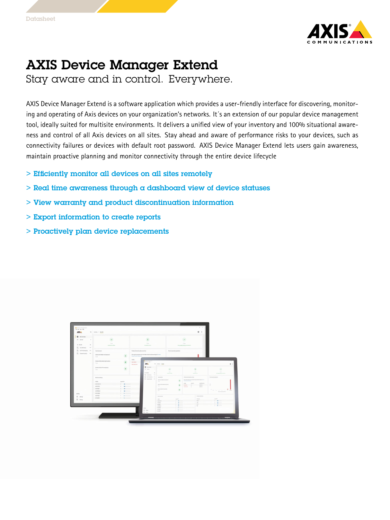

## AXIS Device Manager Extend

Stay aware and in control. Everywhere.

AXIS Device Manager Extend is <sup>a</sup> software application which provides <sup>a</sup> user-friendly interface for discovering, monitoring and operating of Axis devices on your organization's networks. It´s an extension of our popular device management tool, ideally suited for multisite environments. It delivers <sup>a</sup> unified view of your inventory and 100% situational awareness and control of all Axis devices on all sites. Stay ahead and aware of performance risks to your devices, such as connectivity failures or devices with default root password. AXIS Device Manager Extend lets users gain awareness, maintain proactive planning and monitor connectivity through the entire device lifecycle

- > Efficiently monitor all devices on all sites remotely
- $>$  Real time awareness through a dashboard view of device statuses
- > View warranty and product discontinuation information
- > Export information to create reports
- > Proactively plan device replacements